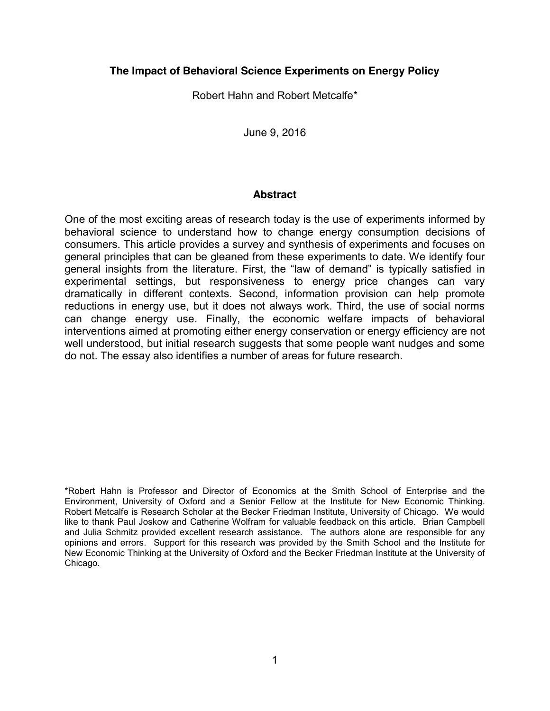## **The Impact of Behavioral Science Experiments on Energy Policy**

Robert Hahn and Robert Metcalfe\*

June 9, 2016

#### **Abstract**

One of the most exciting areas of research today is the use of experiments informed by behavioral science to understand how to change energy consumption decisions of consumers. This article provides a survey and synthesis of experiments and focuses on general principles that can be gleaned from these experiments to date. We identify four general insights from the literature. First, the "law of demand" is typically satisfied in experimental settings, but responsiveness to energy price changes can vary dramatically in different contexts. Second, information provision can help promote reductions in energy use, but it does not always work. Third, the use of social norms can change energy use. Finally, the economic welfare impacts of behavioral interventions aimed at promoting either energy conservation or energy efficiency are not well understood, but initial research suggests that some people want nudges and some do not. The essay also identifies a number of areas for future research.

\*Robert Hahn is Professor and Director of Economics at the Smith School of Enterprise and the Environment, University of Oxford and a Senior Fellow at the Institute for New Economic Thinking. Robert Metcalfe is Research Scholar at the Becker Friedman Institute, University of Chicago. We would like to thank Paul Joskow and Catherine Wolfram for valuable feedback on this article. Brian Campbell and Julia Schmitz provided excellent research assistance. The authors alone are responsible for any opinions and errors. Support for this research was provided by the Smith School and the Institute for New Economic Thinking at the University of Oxford and the Becker Friedman Institute at the University of Chicago.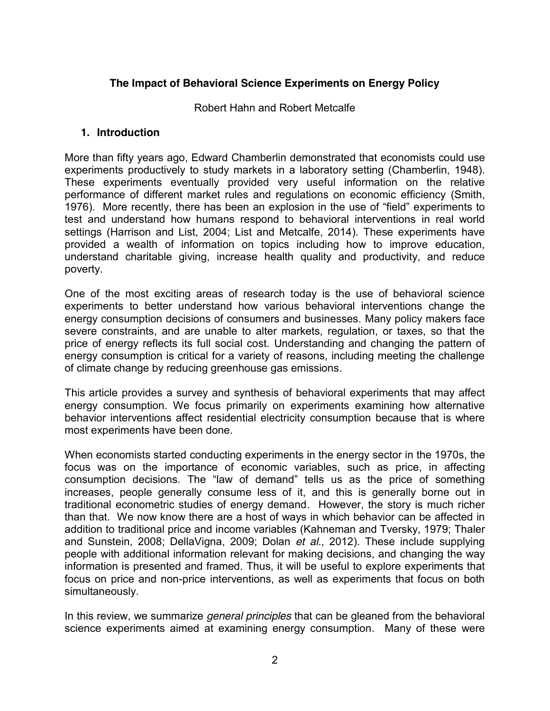# **The Impact of Behavioral Science Experiments on Energy Policy**

Robert Hahn and Robert Metcalfe

#### **1. Introduction**

More than fifty years ago, Edward Chamberlin demonstrated that economists could use experiments productively to study markets in a laboratory setting (Chamberlin, 1948). These experiments eventually provided very useful information on the relative performance of different market rules and regulations on economic efficiency (Smith, 1976). More recently, there has been an explosion in the use of "field" experiments to test and understand how humans respond to behavioral interventions in real world settings (Harrison and List, 2004; List and Metcalfe, 2014). These experiments have provided a wealth of information on topics including how to improve education, understand charitable giving, increase health quality and productivity, and reduce poverty.

One of the most exciting areas of research today is the use of behavioral science experiments to better understand how various behavioral interventions change the energy consumption decisions of consumers and businesses. Many policy makers face severe constraints, and are unable to alter markets, regulation, or taxes, so that the price of energy reflects its full social cost. Understanding and changing the pattern of energy consumption is critical for a variety of reasons, including meeting the challenge of climate change by reducing greenhouse gas emissions.

This article provides a survey and synthesis of behavioral experiments that may affect energy consumption. We focus primarily on experiments examining how alternative behavior interventions affect residential electricity consumption because that is where most experiments have been done.

When economists started conducting experiments in the energy sector in the 1970s, the focus was on the importance of economic variables, such as price, in affecting consumption decisions. The "law of demand" tells us as the price of something increases, people generally consume less of it, and this is generally borne out in traditional econometric studies of energy demand. However, the story is much richer than that. We now know there are a host of ways in which behavior can be affected in addition to traditional price and income variables (Kahneman and Tversky, 1979; Thaler and Sunstein, 2008; DellaVigna, 2009; Dolan *et al.*, 2012). These include supplying people with additional information relevant for making decisions, and changing the way information is presented and framed. Thus, it will be useful to explore experiments that focus on price and non-price interventions, as well as experiments that focus on both simultaneously.

In this review, we summarize *general principles* that can be gleaned from the behavioral science experiments aimed at examining energy consumption. Many of these were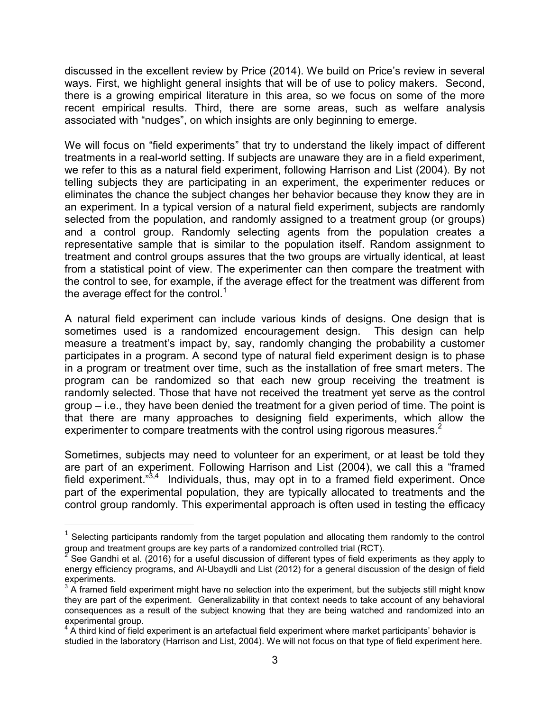discussed in the excellent review by Price (2014). We build on Price's review in several ways. First, we highlight general insights that will be of use to policy makers. Second, there is a growing empirical literature in this area, so we focus on some of the more recent empirical results. Third, there are some areas, such as welfare analysis associated with "nudges", on which insights are only beginning to emerge.

We will focus on "field experiments" that try to understand the likely impact of different treatments in a real-world setting. If subjects are unaware they are in a field experiment, we refer to this as a natural field experiment, following Harrison and List (2004). By not telling subjects they are participating in an experiment, the experimenter reduces or eliminates the chance the subject changes her behavior because they know they are in an experiment. In a typical version of a natural field experiment, subjects are randomly selected from the population, and randomly assigned to a treatment group (or groups) and a control group. Randomly selecting agents from the population creates a representative sample that is similar to the population itself. Random assignment to treatment and control groups assures that the two groups are virtually identical, at least from a statistical point of view. The experimenter can then compare the treatment with the control to see, for example, if the average effect for the treatment was different from the average effect for the control.<sup>1</sup>

A natural field experiment can include various kinds of designs. One design that is sometimes used is a randomized encouragement design. This design can help measure a treatment's impact by, say, randomly changing the probability a customer participates in a program. A second type of natural field experiment design is to phase in a program or treatment over time, such as the installation of free smart meters. The program can be randomized so that each new group receiving the treatment is randomly selected. Those that have not received the treatment yet serve as the control group – i.e., they have been denied the treatment for a given period of time. The point is that there are many approaches to designing field experiments, which allow the experimenter to compare treatments with the control using rigorous measures.<sup>2</sup>

Sometimes, subjects may need to volunteer for an experiment, or at least be told they are part of an experiment. Following Harrison and List (2004), we call this a "framed field experiment."<sup>3,4</sup> Individuals, thus, may opt in to a framed field experiment. Once part of the experimental population, they are typically allocated to treatments and the control group randomly. This experimental approach is often used in testing the efficacy

 $\overline{a}$ 

<sup>&</sup>lt;sup>1</sup> Selecting participants randomly from the target population and allocating them randomly to the control group and treatment groups are key parts of a randomized controlled trial (RCT).

See Gandhi et al. (2016) for a useful discussion of different types of field experiments as they apply to energy efficiency programs, and Al-Ubaydli and List (2012) for a general discussion of the design of field

 $3$  A framed field experiment might have no selection into the experiment, but the subjects still might know they are part of the experiment. Generalizability in that context needs to take account of any behavioral consequences as a result of the subject knowing that they are being watched and randomized into an experimental group.

A third kind of field experiment is an artefactual field experiment where market participants' behavior is studied in the laboratory (Harrison and List, 2004). We will not focus on that type of field experiment here.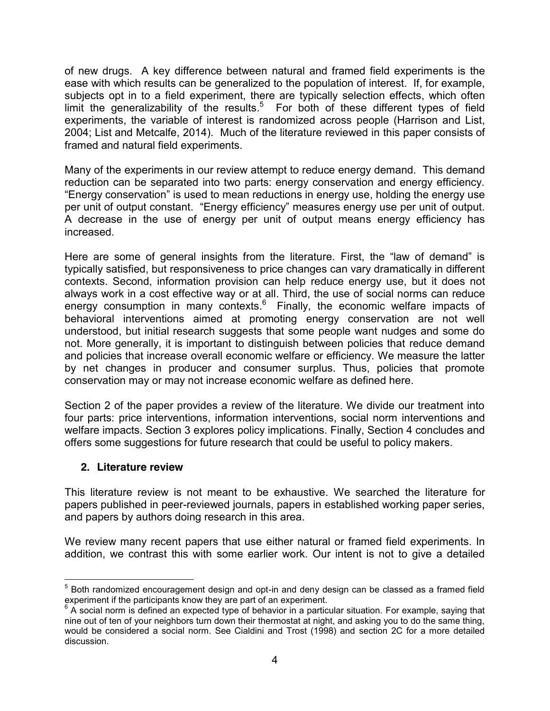of new drugs. A key difference between natural and framed field experiments is the ease with which results can be generalized to the population of interest. If, for example, subjects opt in to a field experiment, there are typically selection effects, which often limit the generalizability of the results.<sup>5</sup> For both of these different types of field experiments, the variable of interest is randomized across people (Harrison and List, 2004; List and Metcalfe, 2014). Much of the literature reviewed in this paper consists of framed and natural field experiments.

Many of the experiments in our review attempt to reduce energy demand. This demand reduction can be separated into two parts: energy conservation and energy efficiency. "Energy conservation" is used to mean reductions in energy use, holding the energy use per unit of output constant. "Energy efficiency" measures energy use per unit of output. A decrease in the use of energy per unit of output means energy efficiency has increased.

Here are some of general insights from the literature. First, the "law of demand" is typically satisfied, but responsiveness to price changes can vary dramatically in different contexts. Second, information provision can help reduce energy use, but it does not always work in a cost effective way or at all. Third, the use of social norms can reduce energy consumption in many contexts. $6$  Finally, the economic welfare impacts of behavioral interventions aimed at promoting energy conservation are not well understood, but initial research suggests that some people want nudges and some do not. More generally, it is important to distinguish between policies that reduce demand and policies that increase overall economic welfare or efficiency. We measure the latter by net changes in producer and consumer surplus. Thus, policies that promote conservation may or may not increase economic welfare as defined here.

Section 2 of the paper provides a review of the literature. We divide our treatment into four parts: price interventions, information interventions, social norm interventions and welfare impacts. Section 3 explores policy implications. Finally, Section 4 concludes and offers some suggestions for future research that could be useful to policy makers.

### **2. Literature review**

This literature review is not meant to be exhaustive. We searched the literature for papers published in peer-reviewed journals, papers in established working paper series, and papers by authors doing research in this area.

We review many recent papers that use either natural or framed field experiments. In addition, we contrast this with some earlier work. Our intent is not to give a detailed

 $<sup>5</sup>$  Both randomized encouragement design and opt-in and deny design can be classed as a framed field</sup> experiment if the participants know they are part of an experiment.

 $6$  A social norm is defined an expected type of behavior in a particular situation. For example, saying that nine out of ten of your neighbors turn down their thermostat at night, and asking you to do the same thing, would be considered a social norm. See Cialdini and Trost (1998) and section 2C for a more detailed discussion.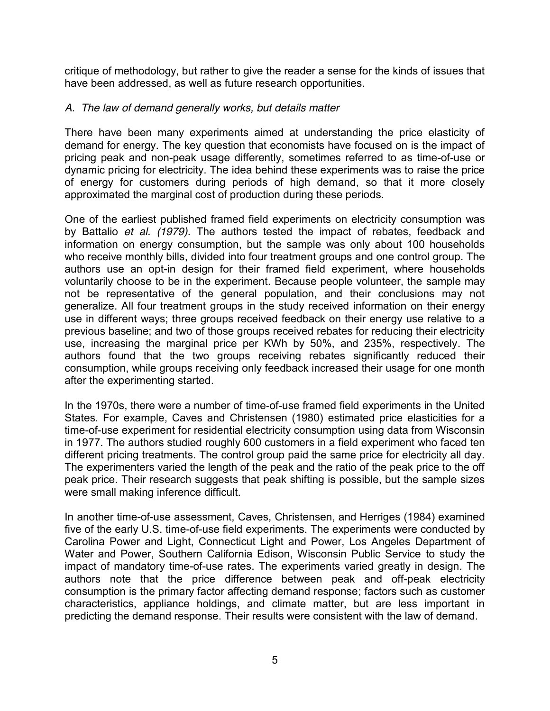critique of methodology, but rather to give the reader a sense for the kinds of issues that have been addressed, as well as future research opportunities.

### *A. The law of demand generally works, but details matter*

There have been many experiments aimed at understanding the price elasticity of demand for energy. The key question that economists have focused on is the impact of pricing peak and non-peak usage differently, sometimes referred to as time-of-use or dynamic pricing for electricity. The idea behind these experiments was to raise the price of energy for customers during periods of high demand, so that it more closely approximated the marginal cost of production during these periods.

One of the earliest published framed field experiments on electricity consumption was by Battalio *et al. (1979).* The authors tested the impact of rebates, feedback and information on energy consumption, but the sample was only about 100 households who receive monthly bills, divided into four treatment groups and one control group. The authors use an opt-in design for their framed field experiment, where households voluntarily choose to be in the experiment. Because people volunteer, the sample may not be representative of the general population, and their conclusions may not generalize. All four treatment groups in the study received information on their energy use in different ways; three groups received feedback on their energy use relative to a previous baseline; and two of those groups received rebates for reducing their electricity use, increasing the marginal price per KWh by 50%, and 235%, respectively. The authors found that the two groups receiving rebates significantly reduced their consumption, while groups receiving only feedback increased their usage for one month after the experimenting started.

In the 1970s, there were a number of time-of-use framed field experiments in the United States. For example, Caves and Christensen (1980) estimated price elasticities for a time-of-use experiment for residential electricity consumption using data from Wisconsin in 1977. The authors studied roughly 600 customers in a field experiment who faced ten different pricing treatments. The control group paid the same price for electricity all day. The experimenters varied the length of the peak and the ratio of the peak price to the off peak price. Their research suggests that peak shifting is possible, but the sample sizes were small making inference difficult.

In another time-of-use assessment, Caves, Christensen, and Herriges (1984) examined five of the early U.S. time-of-use field experiments. The experiments were conducted by Carolina Power and Light, Connecticut Light and Power, Los Angeles Department of Water and Power, Southern California Edison, Wisconsin Public Service to study the impact of mandatory time-of-use rates. The experiments varied greatly in design. The authors note that the price difference between peak and off-peak electricity consumption is the primary factor affecting demand response; factors such as customer characteristics, appliance holdings, and climate matter, but are less important in predicting the demand response. Their results were consistent with the law of demand.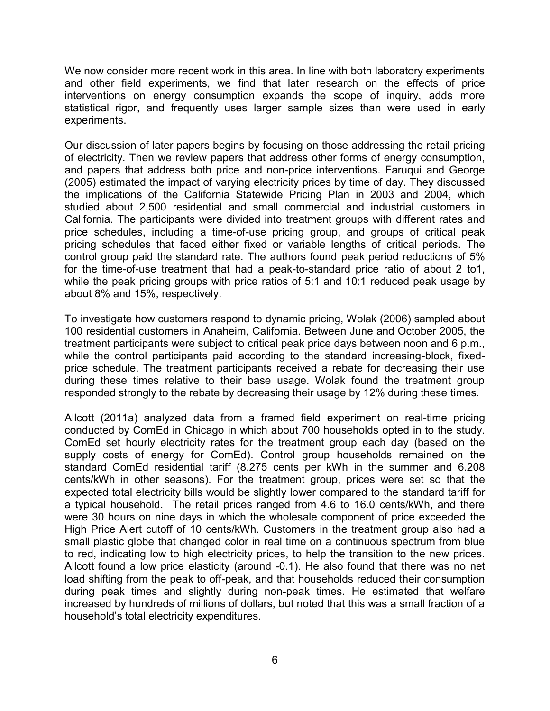We now consider more recent work in this area. In line with both laboratory experiments and other field experiments, we find that later research on the effects of price interventions on energy consumption expands the scope of inquiry, adds more statistical rigor, and frequently uses larger sample sizes than were used in early experiments.

Our discussion of later papers begins by focusing on those addressing the retail pricing of electricity. Then we review papers that address other forms of energy consumption, and papers that address both price and non-price interventions. Faruqui and George (2005) estimated the impact of varying electricity prices by time of day. They discussed the implications of the California Statewide Pricing Plan in 2003 and 2004, which studied about 2,500 residential and small commercial and industrial customers in California. The participants were divided into treatment groups with different rates and price schedules, including a time-of-use pricing group, and groups of critical peak pricing schedules that faced either fixed or variable lengths of critical periods. The control group paid the standard rate. The authors found peak period reductions of 5% for the time-of-use treatment that had a peak-to-standard price ratio of about 2 to1, while the peak pricing groups with price ratios of 5:1 and 10:1 reduced peak usage by about 8% and 15%, respectively.

To investigate how customers respond to dynamic pricing, Wolak (2006) sampled about 100 residential customers in Anaheim, California. Between June and October 2005, the treatment participants were subject to critical peak price days between noon and 6 p.m., while the control participants paid according to the standard increasing-block, fixedprice schedule. The treatment participants received a rebate for decreasing their use during these times relative to their base usage. Wolak found the treatment group responded strongly to the rebate by decreasing their usage by 12% during these times.

Allcott (2011a) analyzed data from a framed field experiment on real-time pricing conducted by ComEd in Chicago in which about 700 households opted in to the study. ComEd set hourly electricity rates for the treatment group each day (based on the supply costs of energy for ComEd). Control group households remained on the standard ComEd residential tariff (8.275 cents per kWh in the summer and 6.208 cents/kWh in other seasons). For the treatment group, prices were set so that the expected total electricity bills would be slightly lower compared to the standard tariff for a typical household. The retail prices ranged from 4.6 to 16.0 cents/kWh, and there were 30 hours on nine days in which the wholesale component of price exceeded the High Price Alert cutoff of 10 cents/kWh. Customers in the treatment group also had a small plastic globe that changed color in real time on a continuous spectrum from blue to red, indicating low to high electricity prices, to help the transition to the new prices. Allcott found a low price elasticity (around -0.1). He also found that there was no net load shifting from the peak to off-peak, and that households reduced their consumption during peak times and slightly during non-peak times. He estimated that welfare increased by hundreds of millions of dollars, but noted that this was a small fraction of a household's total electricity expenditures.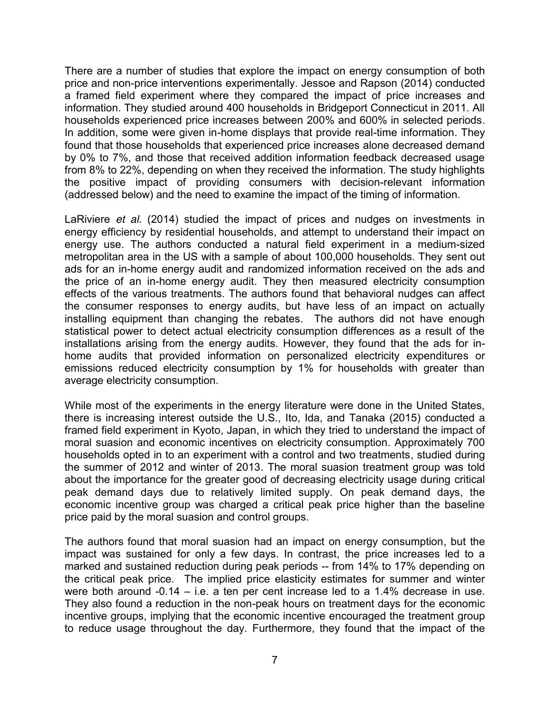There are a number of studies that explore the impact on energy consumption of both price and non-price interventions experimentally. Jessoe and Rapson (2014) conducted a framed field experiment where they compared the impact of price increases and information. They studied around 400 households in Bridgeport Connecticut in 2011. All households experienced price increases between 200% and 600% in selected periods. In addition, some were given in-home displays that provide real-time information. They found that those households that experienced price increases alone decreased demand by 0% to 7%, and those that received addition information feedback decreased usage from 8% to 22%, depending on when they received the information. The study highlights the positive impact of providing consumers with decision-relevant information (addressed below) and the need to examine the impact of the timing of information.

LaRiviere *et al.* (2014) studied the impact of prices and nudges on investments in energy efficiency by residential households, and attempt to understand their impact on energy use. The authors conducted a natural field experiment in a medium-sized metropolitan area in the US with a sample of about 100,000 households. They sent out ads for an in-home energy audit and randomized information received on the ads and the price of an in-home energy audit. They then measured electricity consumption effects of the various treatments. The authors found that behavioral nudges can affect the consumer responses to energy audits, but have less of an impact on actually installing equipment than changing the rebates. The authors did not have enough statistical power to detect actual electricity consumption differences as a result of the installations arising from the energy audits. However, they found that the ads for inhome audits that provided information on personalized electricity expenditures or emissions reduced electricity consumption by 1% for households with greater than average electricity consumption.

While most of the experiments in the energy literature were done in the United States, there is increasing interest outside the U.S., Ito, Ida, and Tanaka (2015) conducted a framed field experiment in Kyoto, Japan, in which they tried to understand the impact of moral suasion and economic incentives on electricity consumption. Approximately 700 households opted in to an experiment with a control and two treatments, studied during the summer of 2012 and winter of 2013. The moral suasion treatment group was told about the importance for the greater good of decreasing electricity usage during critical peak demand days due to relatively limited supply. On peak demand days, the economic incentive group was charged a critical peak price higher than the baseline price paid by the moral suasion and control groups.

The authors found that moral suasion had an impact on energy consumption, but the impact was sustained for only a few days. In contrast, the price increases led to a marked and sustained reduction during peak periods -- from 14% to 17% depending on the critical peak price. The implied price elasticity estimates for summer and winter were both around -0.14 – i.e. a ten per cent increase led to a 1.4% decrease in use. They also found a reduction in the non-peak hours on treatment days for the economic incentive groups, implying that the economic incentive encouraged the treatment group to reduce usage throughout the day. Furthermore, they found that the impact of the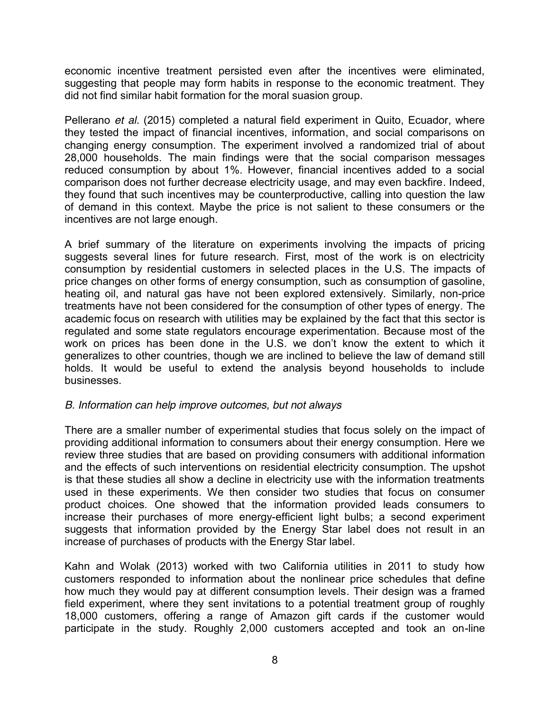economic incentive treatment persisted even after the incentives were eliminated, suggesting that people may form habits in response to the economic treatment. They did not find similar habit formation for the moral suasion group.

Pellerano *et al.* (2015) completed a natural field experiment in Quito, Ecuador, where they tested the impact of financial incentives, information, and social comparisons on changing energy consumption. The experiment involved a randomized trial of about 28,000 households. The main findings were that the social comparison messages reduced consumption by about 1%. However, financial incentives added to a social comparison does not further decrease electricity usage, and may even backfire. Indeed, they found that such incentives may be counterproductive, calling into question the law of demand in this context. Maybe the price is not salient to these consumers or the incentives are not large enough.

A brief summary of the literature on experiments involving the impacts of pricing suggests several lines for future research. First, most of the work is on electricity consumption by residential customers in selected places in the U.S. The impacts of price changes on other forms of energy consumption, such as consumption of gasoline, heating oil, and natural gas have not been explored extensively. Similarly, non-price treatments have not been considered for the consumption of other types of energy. The academic focus on research with utilities may be explained by the fact that this sector is regulated and some state regulators encourage experimentation. Because most of the work on prices has been done in the U.S. we don't know the extent to which it generalizes to other countries, though we are inclined to believe the law of demand still holds. It would be useful to extend the analysis beyond households to include businesses.

### *B. Information can help improve outcomes, but not always*

There are a smaller number of experimental studies that focus solely on the impact of providing additional information to consumers about their energy consumption. Here we review three studies that are based on providing consumers with additional information and the effects of such interventions on residential electricity consumption. The upshot is that these studies all show a decline in electricity use with the information treatments used in these experiments. We then consider two studies that focus on consumer product choices. One showed that the information provided leads consumers to increase their purchases of more energy-efficient light bulbs; a second experiment suggests that information provided by the Energy Star label does not result in an increase of purchases of products with the Energy Star label.

Kahn and Wolak (2013) worked with two California utilities in 2011 to study how customers responded to information about the nonlinear price schedules that define how much they would pay at different consumption levels. Their design was a framed field experiment, where they sent invitations to a potential treatment group of roughly 18,000 customers, offering a range of Amazon gift cards if the customer would participate in the study. Roughly 2,000 customers accepted and took an on-line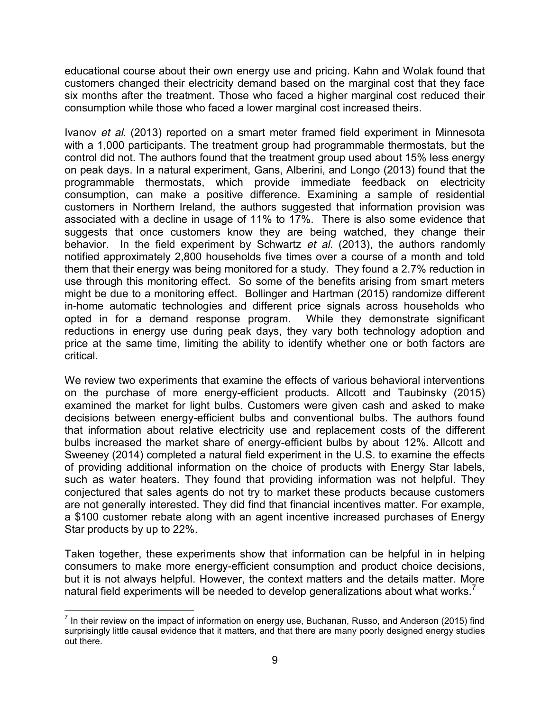educational course about their own energy use and pricing. Kahn and Wolak found that customers changed their electricity demand based on the marginal cost that they face six months after the treatment. Those who faced a higher marginal cost reduced their consumption while those who faced a lower marginal cost increased theirs.

Ivanov *et al.* (2013) reported on a smart meter framed field experiment in Minnesota with a 1,000 participants. The treatment group had programmable thermostats, but the control did not. The authors found that the treatment group used about 15% less energy on peak days. In a natural experiment, Gans, Alberini, and Longo (2013) found that the programmable thermostats, which provide immediate feedback on electricity consumption, can make a positive difference. Examining a sample of residential customers in Northern Ireland, the authors suggested that information provision was associated with a decline in usage of 11% to 17%. There is also some evidence that suggests that once customers know they are being watched, they change their behavior. In the field experiment by Schwartz *et al.* (2013), the authors randomly notified approximately 2,800 households five times over a course of a month and told them that their energy was being monitored for a study. They found a 2.7% reduction in use through this monitoring effect. So some of the benefits arising from smart meters might be due to a monitoring effect. Bollinger and Hartman (2015) randomize different in-home automatic technologies and different price signals across households who opted in for a demand response program. While they demonstrate significant reductions in energy use during peak days, they vary both technology adoption and price at the same time, limiting the ability to identify whether one or both factors are critical.

We review two experiments that examine the effects of various behavioral interventions on the purchase of more energy-efficient products. Allcott and Taubinsky (2015) examined the market for light bulbs. Customers were given cash and asked to make decisions between energy-efficient bulbs and conventional bulbs. The authors found that information about relative electricity use and replacement costs of the different bulbs increased the market share of energy-efficient bulbs by about 12%. Allcott and Sweeney (2014) completed a natural field experiment in the U.S. to examine the effects of providing additional information on the choice of products with Energy Star labels, such as water heaters. They found that providing information was not helpful. They conjectured that sales agents do not try to market these products because customers are not generally interested. They did find that financial incentives matter. For example, a \$100 customer rebate along with an agent incentive increased purchases of Energy Star products by up to 22%.

Taken together, these experiments show that information can be helpful in in helping consumers to make more energy-efficient consumption and product choice decisions, but it is not always helpful. However, the context matters and the details matter. More natural field experiments will be needed to develop generalizations about what works.<sup>7</sup>

 $<sup>7</sup>$  In their review on the impact of information on energy use, Buchanan, Russo, and Anderson (2015) find</sup> surprisingly little causal evidence that it matters, and that there are many poorly designed energy studies out there.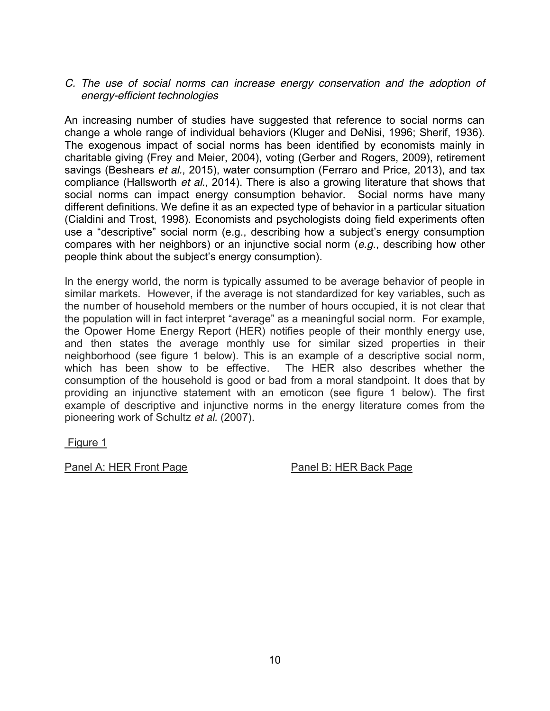#### *C. The use of social norms can increase energy conservation and the adoption of energy-efficient technologies*

An increasing number of studies have suggested that reference to social norms can change a whole range of individual behaviors (Kluger and DeNisi, 1996; Sherif, 1936). The exogenous impact of social norms has been identified by economists mainly in charitable giving (Frey and Meier, 2004), voting (Gerber and Rogers, 2009), retirement savings (Beshears *et al.*, 2015), water consumption (Ferraro and Price, 2013), and tax compliance (Hallsworth *et al.*, 2014). There is also a growing literature that shows that social norms can impact energy consumption behavior. Social norms have many different definitions. We define it as an expected type of behavior in a particular situation (Cialdini and Trost, 1998). Economists and psychologists doing field experiments often use a "descriptive" social norm (e.g., describing how a subject's energy consumption compares with her neighbors) or an injunctive social norm (*e.g*., describing how other people think about the subject's energy consumption).

In the energy world, the norm is typically assumed to be average behavior of people in similar markets. However, if the average is not standardized for key variables, such as the number of household members or the number of hours occupied, it is not clear that the population will in fact interpret "average" as a meaningful social norm. For example, the Opower Home Energy Report (HER) notifies people of their monthly energy use, and then states the average monthly use for similar sized properties in their neighborhood (see figure 1 below). This is an example of a descriptive social norm, which has been show to be effective. The HER also describes whether the consumption of the household is good or bad from a moral standpoint. It does that by providing an injunctive statement with an emoticon (see figure 1 below). The first example of descriptive and injunctive norms in the energy literature comes from the pioneering work of Schultz *et al.* (2007).

Figure 1

Panel A: HER Front Page Panel B: HER Back Page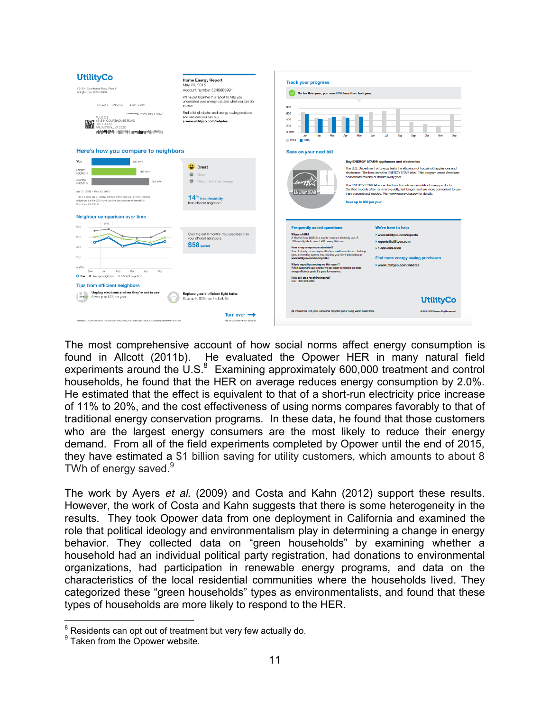| <b>UtilityCo</b>                                                                                                                                                                                                                                                                                                  | <b>Home Energy Report</b>                                                                                                                                                                                               | <b>Track your progress</b>                                                                                                                                                                                                                                                                                                                                                                                                                                                                                                                                                                                                                                                                                                                                                                                   |
|-------------------------------------------------------------------------------------------------------------------------------------------------------------------------------------------------------------------------------------------------------------------------------------------------------------------|-------------------------------------------------------------------------------------------------------------------------------------------------------------------------------------------------------------------------|--------------------------------------------------------------------------------------------------------------------------------------------------------------------------------------------------------------------------------------------------------------------------------------------------------------------------------------------------------------------------------------------------------------------------------------------------------------------------------------------------------------------------------------------------------------------------------------------------------------------------------------------------------------------------------------------------------------------------------------------------------------------------------------------------------------|
| 1515 N. Courthouse Road, Floor 8<br>Arlington, VA 22201-2909                                                                                                                                                                                                                                                      | May 20, 2015<br>Account number 8249865991                                                                                                                                                                               | So far this year, you used 6% less than last year.                                                                                                                                                                                                                                                                                                                                                                                                                                                                                                                                                                                                                                                                                                                                                           |
| 0014837 0023-010-1<br>-P14851-730905<br>************ AUTO**5-DIGIT 12345<br>PLUGGIE<br><b>HAVE 1515 N COURTHOUSE ROAD</b><br><b>ANALS 8TH FLOOR</b><br>CLASS ARLINGTON,, VA 22201<br>. Philadelphiladelphiladelphiladelphiladelphil                                                                               | We've put together this report to help you<br>understand your energy use and what you can do<br>to save.<br>Find a list of rebates and energy-saving products<br>and services you can buy.<br>www.utilityco.com/rebates | 800<br>600<br>400<br>200<br>0 <sub>k</sub> W<br>Ort<br>Eah<br>Mm<br>Mon<br><b>A</b><br>Aug<br>Sep<br>. Inn<br>Δη<br>Jun<br>New<br>2014<br>2015                                                                                                                                                                                                                                                                                                                                                                                                                                                                                                                                                                                                                                                               |
| Here's how you compare to neighbors<br>Save on your next bill                                                                                                                                                                                                                                                     |                                                                                                                                                                                                                         |                                                                                                                                                                                                                                                                                                                                                                                                                                                                                                                                                                                                                                                                                                                                                                                                              |
| You<br>402 KWh<br>Efficient<br>465 KWh<br>neighbors<br>Average<br>602 KWh<br>neighbors<br>Apr 21, 2015 - May 20, 2015<br>This is based on 87 similar homes within approx. 4 miles. Efficient<br>neighbors are the 20% who use the least amount of electricity<br>See back for details.                            | Great<br>⊛<br>Good<br>≘<br>Using more than average<br>14 <sup>%</sup> less electricity<br>than efficient neighbors                                                                                                      | <b>Buy ENERGY STAR® appliances and electronics</b><br>The U.S. Department of Energy tests the efficiency of household appliances and<br>electronics. The best earn the ENERGY STAR label. This program saves American<br>households millions of dollars every year.<br>The ENERGY STAR label can be found on efficient models of many products.<br>Certified models often run more quietly, last longer, and are more convenient to use<br><b>ENERGY STAR</b><br>than conventional models. Visit www.energystar.gov for details.<br>Save up to \$30 per year                                                                                                                                                                                                                                                 |
| Neighbor comparison over time<br>2016<br>800<br>600<br>400<br>200<br>0 kWh<br>Feb<br>Dec<br>Mor<br>àre<br>May<br>. lar<br>O You . Average neighbors . O Efficient neighbors<br><b>Tips from efficient neighbors</b><br>Unplug electronics when they're not in use<br>33<br>Save up to \$75 per year<br>$39 - 636$ | Over the last 6 months, you used less than<br>your efficient neighbors.<br><b>\$58</b> saved<br>Replace your inefficient light bulbs<br>Save up to \$30 over the bulb life                                              | <b>Frequently asked questions</b><br>We're here to help<br>What's a kWh?<br>www.utilityco.com/reports<br>A kilowatt hour [kWh] is a way to measure electricity use. A<br>100-watt lightbulb uses 1 kWh every 10 hours.<br>reports@utilityco.com<br>How is my comparison calculated?<br>▶ 1-888-888-8888<br>Your electricity use is compared to homes with a similar size, building<br>type, and heating system. You can view your home information at<br>Find more energy saving purchases<br>www.utilityco.com/homeprofile.<br>Why is my utility sending me this report?<br>www.utilityco.com/rebates<br>When oustomers save energy, we get closer to meeting our state<br>energy efficiency goals. It's good for everyone.<br>How do I stop receiving reports?<br>Call 1-800-999-9999.<br><b>UtilityCo</b> |
|                                                                                                                                                                                                                                                                                                                   |                                                                                                                                                                                                                         | C Printed on 10% post-consumer recycled paper using water-based inks.<br>O 2010 - 2015 Openne, All rights reserved.                                                                                                                                                                                                                                                                                                                                                                                                                                                                                                                                                                                                                                                                                          |
|                                                                                                                                                                                                                                                                                                                   | Turn over $\blacksquare$<br>1109-24-02-0203524-021-02208                                                                                                                                                                |                                                                                                                                                                                                                                                                                                                                                                                                                                                                                                                                                                                                                                                                                                                                                                                                              |
| 10594557, LIFE PHOTO-AN 41156-195-3 PR PHOTO: MAILBAN STRUCKER AND AUGUST-STRAINARD, LO-AKEE                                                                                                                                                                                                                      |                                                                                                                                                                                                                         |                                                                                                                                                                                                                                                                                                                                                                                                                                                                                                                                                                                                                                                                                                                                                                                                              |

The most comprehensive account of how social norms affect energy consumption is found in Allcott (2011b). He evaluated the Opower HER in many natural field experiments around the  $\overline{U.S.^8}$  Examining approximately 600,000 treatment and control households, he found that the HER on average reduces energy consumption by 2.0%. He estimated that the effect is equivalent to that of a short-run electricity price increase of 11% to 20%, and the cost effectiveness of using norms compares favorably to that of traditional energy conservation programs. In these data, he found that those customers who are the largest energy consumers are the most likely to reduce their energy demand. From all of the field experiments completed by Opower until the end of 2015, they have estimated a \$1 billion saving for utility customers, which amounts to about 8 TWh of energy saved.<sup>9</sup>

The work by Ayers *et al.* (2009) and Costa and Kahn (2012) support these results. However, the work of Costa and Kahn suggests that there is some heterogeneity in the results. They took Opower data from one deployment in California and examined the role that political ideology and environmentalism play in determining a change in energy behavior. They collected data on "green households" by examining whether a household had an individual political party registration, had donations to environmental organizations, had participation in renewable energy programs, and data on the characteristics of the local residential communities where the households lived. They categorized these "green households" types as environmentalists, and found that these types of households are more likely to respond to the HER.

 $8$  Residents can opt out of treatment but very few actually do.

 $9$  Taken from the Opower website.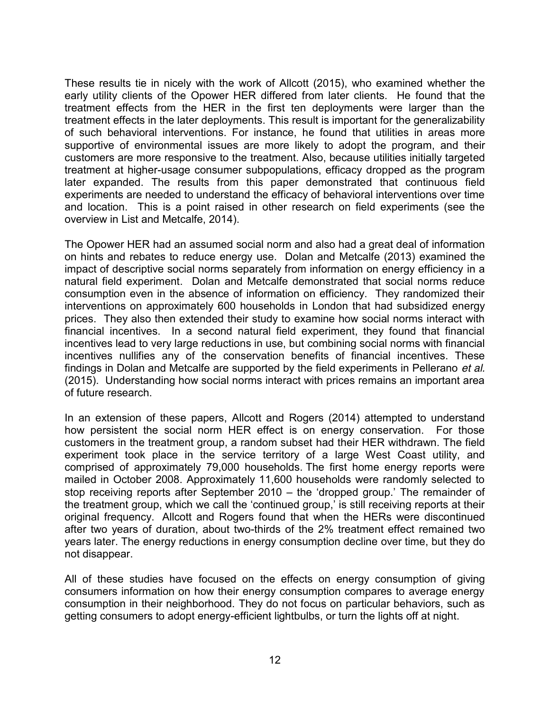These results tie in nicely with the work of Allcott (2015), who examined whether the early utility clients of the Opower HER differed from later clients. He found that the treatment effects from the HER in the first ten deployments were larger than the treatment effects in the later deployments. This result is important for the generalizability of such behavioral interventions. For instance, he found that utilities in areas more supportive of environmental issues are more likely to adopt the program, and their customers are more responsive to the treatment. Also, because utilities initially targeted treatment at higher-usage consumer subpopulations, efficacy dropped as the program later expanded. The results from this paper demonstrated that continuous field experiments are needed to understand the efficacy of behavioral interventions over time and location. This is a point raised in other research on field experiments (see the overview in List and Metcalfe, 2014).

The Opower HER had an assumed social norm and also had a great deal of information on hints and rebates to reduce energy use. Dolan and Metcalfe (2013) examined the impact of descriptive social norms separately from information on energy efficiency in a natural field experiment. Dolan and Metcalfe demonstrated that social norms reduce consumption even in the absence of information on efficiency. They randomized their interventions on approximately 600 households in London that had subsidized energy prices. They also then extended their study to examine how social norms interact with financial incentives. In a second natural field experiment, they found that financial incentives lead to very large reductions in use, but combining social norms with financial incentives nullifies any of the conservation benefits of financial incentives. These findings in Dolan and Metcalfe are supported by the field experiments in Pellerano *et al.* (2015). Understanding how social norms interact with prices remains an important area of future research.

In an extension of these papers, Allcott and Rogers (2014) attempted to understand how persistent the social norm HER effect is on energy conservation. For those customers in the treatment group, a random subset had their HER withdrawn. The field experiment took place in the service territory of a large West Coast utility, and comprised of approximately 79,000 households. The first home energy reports were mailed in October 2008. Approximately 11,600 households were randomly selected to stop receiving reports after September 2010 – the 'dropped group.' The remainder of the treatment group, which we call the 'continued group,' is still receiving reports at their original frequency. Allcott and Rogers found that when the HERs were discontinued after two years of duration, about two-thirds of the 2% treatment effect remained two years later. The energy reductions in energy consumption decline over time, but they do not disappear.

All of these studies have focused on the effects on energy consumption of giving consumers information on how their energy consumption compares to average energy consumption in their neighborhood. They do not focus on particular behaviors, such as getting consumers to adopt energy-efficient lightbulbs, or turn the lights off at night.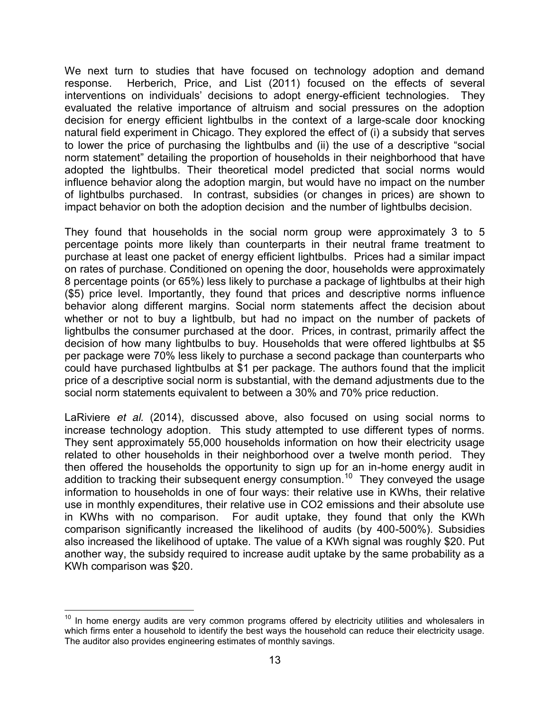We next turn to studies that have focused on technology adoption and demand response. Herberich, Price, and List (2011) focused on the effects of several interventions on individuals' decisions to adopt energy-efficient technologies. They evaluated the relative importance of altruism and social pressures on the adoption decision for energy efficient lightbulbs in the context of a large-scale door knocking natural field experiment in Chicago. They explored the effect of (i) a subsidy that serves to lower the price of purchasing the lightbulbs and (ii) the use of a descriptive "social norm statement" detailing the proportion of households in their neighborhood that have adopted the lightbulbs. Their theoretical model predicted that social norms would influence behavior along the adoption margin, but would have no impact on the number of lightbulbs purchased. In contrast, subsidies (or changes in prices) are shown to impact behavior on both the adoption decision and the number of lightbulbs decision.

They found that households in the social norm group were approximately 3 to 5 percentage points more likely than counterparts in their neutral frame treatment to purchase at least one packet of energy efficient lightbulbs. Prices had a similar impact on rates of purchase. Conditioned on opening the door, households were approximately 8 percentage points (or 65%) less likely to purchase a package of lightbulbs at their high (\$5) price level. Importantly, they found that prices and descriptive norms influence behavior along different margins. Social norm statements affect the decision about whether or not to buy a lightbulb, but had no impact on the number of packets of lightbulbs the consumer purchased at the door. Prices, in contrast, primarily affect the decision of how many lightbulbs to buy. Households that were offered lightbulbs at \$5 per package were 70% less likely to purchase a second package than counterparts who could have purchased lightbulbs at \$1 per package. The authors found that the implicit price of a descriptive social norm is substantial, with the demand adjustments due to the social norm statements equivalent to between a 30% and 70% price reduction.

LaRiviere *et al.* (2014), discussed above, also focused on using social norms to increase technology adoption. This study attempted to use different types of norms. They sent approximately 55,000 households information on how their electricity usage related to other households in their neighborhood over a twelve month period. They then offered the households the opportunity to sign up for an in-home energy audit in addition to tracking their subsequent energy consumption.<sup>10</sup> They conveyed the usage information to households in one of four ways: their relative use in KWhs, their relative use in monthly expenditures, their relative use in CO2 emissions and their absolute use in KWhs with no comparison. For audit uptake, they found that only the KWh comparison significantly increased the likelihood of audits (by 400-500%). Subsidies also increased the likelihood of uptake. The value of a KWh signal was roughly \$20. Put another way, the subsidy required to increase audit uptake by the same probability as a KWh comparison was \$20*.*

 $10$  In home energy audits are very common programs offered by electricity utilities and wholesalers in which firms enter a household to identify the best ways the household can reduce their electricity usage. The auditor also provides engineering estimates of monthly savings.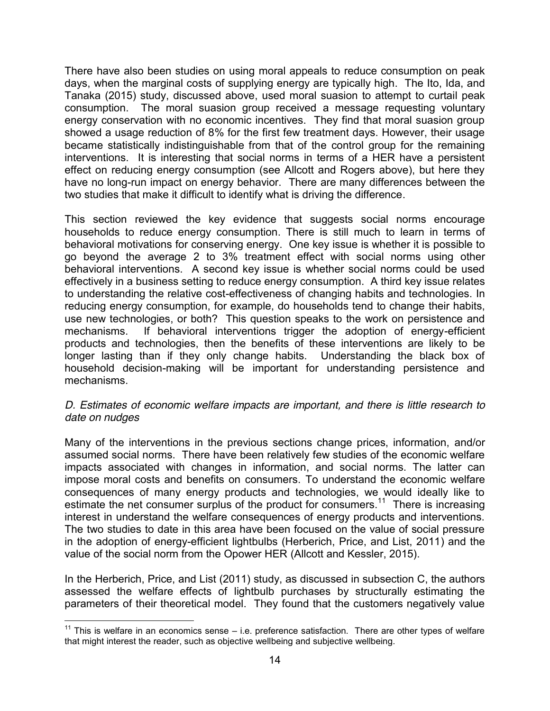There have also been studies on using moral appeals to reduce consumption on peak days, when the marginal costs of supplying energy are typically high. The Ito, Ida, and Tanaka (2015) study, discussed above, used moral suasion to attempt to curtail peak consumption. The moral suasion group received a message requesting voluntary energy conservation with no economic incentives. They find that moral suasion group showed a usage reduction of 8% for the first few treatment days. However, their usage became statistically indistinguishable from that of the control group for the remaining interventions. It is interesting that social norms in terms of a HER have a persistent effect on reducing energy consumption (see Allcott and Rogers above), but here they have no long-run impact on energy behavior. There are many differences between the two studies that make it difficult to identify what is driving the difference.

This section reviewed the key evidence that suggests social norms encourage households to reduce energy consumption. There is still much to learn in terms of behavioral motivations for conserving energy. One key issue is whether it is possible to go beyond the average 2 to 3% treatment effect with social norms using other behavioral interventions. A second key issue is whether social norms could be used effectively in a business setting to reduce energy consumption. A third key issue relates to understanding the relative cost-effectiveness of changing habits and technologies. In reducing energy consumption, for example, do households tend to change their habits, use new technologies, or both? This question speaks to the work on persistence and mechanisms. If behavioral interventions trigger the adoption of energy-efficient products and technologies, then the benefits of these interventions are likely to be longer lasting than if they only change habits. Understanding the black box of household decision-making will be important for understanding persistence and mechanisms.

## *D. Estimates of economic welfare impacts are important, and there is little research to date on nudges*

Many of the interventions in the previous sections change prices, information, and/or assumed social norms. There have been relatively few studies of the economic welfare impacts associated with changes in information, and social norms. The latter can impose moral costs and benefits on consumers. To understand the economic welfare consequences of many energy products and technologies, we would ideally like to estimate the net consumer surplus of the product for consumers.<sup>11</sup> There is increasing interest in understand the welfare consequences of energy products and interventions. The two studies to date in this area have been focused on the value of social pressure in the adoption of energy-efficient lightbulbs (Herberich, Price, and List, 2011) and the value of the social norm from the Opower HER (Allcott and Kessler, 2015).

In the Herberich, Price, and List (2011) study, as discussed in subsection C, the authors assessed the welfare effects of lightbulb purchases by structurally estimating the parameters of their theoretical model. They found that the customers negatively value

 $11$  This is welfare in an economics sense – i.e. preference satisfaction. There are other types of welfare that might interest the reader, such as objective wellbeing and subjective wellbeing.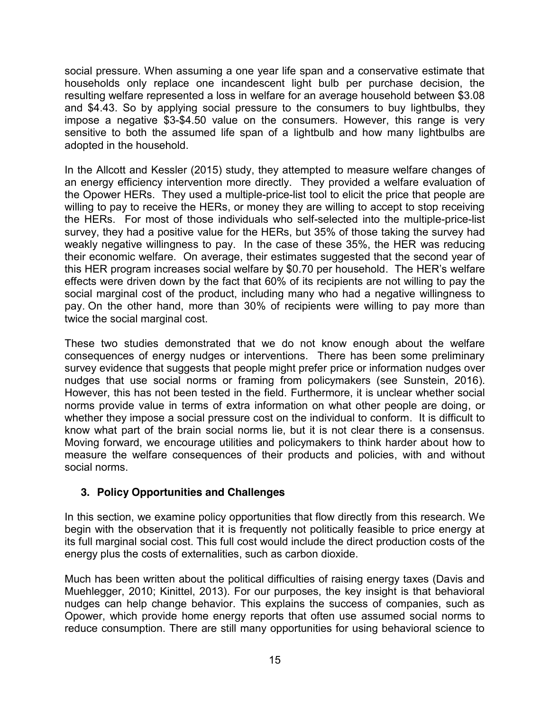social pressure. When assuming a one year life span and a conservative estimate that households only replace one incandescent light bulb per purchase decision, the resulting welfare represented a loss in welfare for an average household between \$3.08 and \$4.43. So by applying social pressure to the consumers to buy lightbulbs, they impose a negative \$3-\$4.50 value on the consumers. However, this range is very sensitive to both the assumed life span of a lightbulb and how many lightbulbs are adopted in the household.

In the Allcott and Kessler (2015) study, they attempted to measure welfare changes of an energy efficiency intervention more directly. They provided a welfare evaluation of the Opower HERs. They used a multiple-price-list tool to elicit the price that people are willing to pay to receive the HERs, or money they are willing to accept to stop receiving the HERs. For most of those individuals who self-selected into the multiple-price-list survey, they had a positive value for the HERs, but 35% of those taking the survey had weakly negative willingness to pay. In the case of these 35%, the HER was reducing their economic welfare. On average, their estimates suggested that the second year of this HER program increases social welfare by \$0.70 per household. The HER's welfare effects were driven down by the fact that 60% of its recipients are not willing to pay the social marginal cost of the product, including many who had a negative willingness to pay. On the other hand, more than 30% of recipients were willing to pay more than twice the social marginal cost.

These two studies demonstrated that we do not know enough about the welfare consequences of energy nudges or interventions. There has been some preliminary survey evidence that suggests that people might prefer price or information nudges over nudges that use social norms or framing from policymakers (see Sunstein, 2016). However, this has not been tested in the field. Furthermore, it is unclear whether social norms provide value in terms of extra information on what other people are doing, or whether they impose a social pressure cost on the individual to conform. It is difficult to know what part of the brain social norms lie, but it is not clear there is a consensus. Moving forward, we encourage utilities and policymakers to think harder about how to measure the welfare consequences of their products and policies, with and without social norms.

# **3. Policy Opportunities and Challenges**

In this section, we examine policy opportunities that flow directly from this research. We begin with the observation that it is frequently not politically feasible to price energy at its full marginal social cost. This full cost would include the direct production costs of the energy plus the costs of externalities, such as carbon dioxide.

Much has been written about the political difficulties of raising energy taxes (Davis and Muehlegger, 2010; Kinittel, 2013). For our purposes, the key insight is that behavioral nudges can help change behavior. This explains the success of companies, such as Opower, which provide home energy reports that often use assumed social norms to reduce consumption. There are still many opportunities for using behavioral science to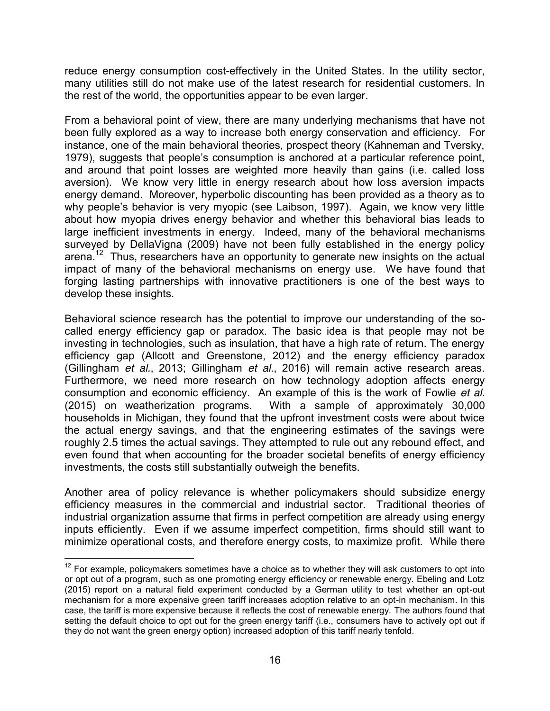reduce energy consumption cost-effectively in the United States. In the utility sector, many utilities still do not make use of the latest research for residential customers. In the rest of the world, the opportunities appear to be even larger.

From a behavioral point of view, there are many underlying mechanisms that have not been fully explored as a way to increase both energy conservation and efficiency. For instance, one of the main behavioral theories, prospect theory (Kahneman and Tversky, 1979), suggests that people's consumption is anchored at a particular reference point, and around that point losses are weighted more heavily than gains (i.e. called loss aversion). We know very little in energy research about how loss aversion impacts energy demand. Moreover, hyperbolic discounting has been provided as a theory as to why people's behavior is very myopic (see Laibson, 1997). Again, we know very little about how myopia drives energy behavior and whether this behavioral bias leads to large inefficient investments in energy. Indeed, many of the behavioral mechanisms surveyed by DellaVigna (2009) have not been fully established in the energy policy arena.<sup>12</sup> Thus, researchers have an opportunity to generate new insights on the actual impact of many of the behavioral mechanisms on energy use. We have found that forging lasting partnerships with innovative practitioners is one of the best ways to develop these insights.

Behavioral science research has the potential to improve our understanding of the socalled energy efficiency gap or paradox. The basic idea is that people may not be investing in technologies, such as insulation, that have a high rate of return. The energy efficiency gap (Allcott and Greenstone, 2012) and the energy efficiency paradox (Gillingham *et al.*, 2013; Gillingham *et al*., 2016) will remain active research areas. Furthermore, we need more research on how technology adoption affects energy consumption and economic efficiency. An example of this is the work of Fowlie *et al.* (2015) on weatherization programs. With a sample of approximately 30,000 households in Michigan, they found that the upfront investment costs were about twice the actual energy savings, and that the engineering estimates of the savings were roughly 2.5 times the actual savings. They attempted to rule out any rebound effect, and even found that when accounting for the broader societal benefits of energy efficiency investments, the costs still substantially outweigh the benefits.

Another area of policy relevance is whether policymakers should subsidize energy efficiency measures in the commercial and industrial sector. Traditional theories of industrial organization assume that firms in perfect competition are already using energy inputs efficiently. Even if we assume imperfect competition, firms should still want to minimize operational costs, and therefore energy costs, to maximize profit. While there

 $12$  For example, policymakers sometimes have a choice as to whether they will ask customers to opt into or opt out of a program, such as one promoting energy efficiency or renewable energy. Ebeling and Lotz (2015) report on a natural field experiment conducted by a German utility to test whether an opt-out mechanism for a more expensive green tariff increases adoption relative to an opt-in mechanism. In this case, the tariff is more expensive because it reflects the cost of renewable energy. The authors found that setting the default choice to opt out for the green energy tariff (i.e., consumers have to actively opt out if they do not want the green energy option) increased adoption of this tariff nearly tenfold.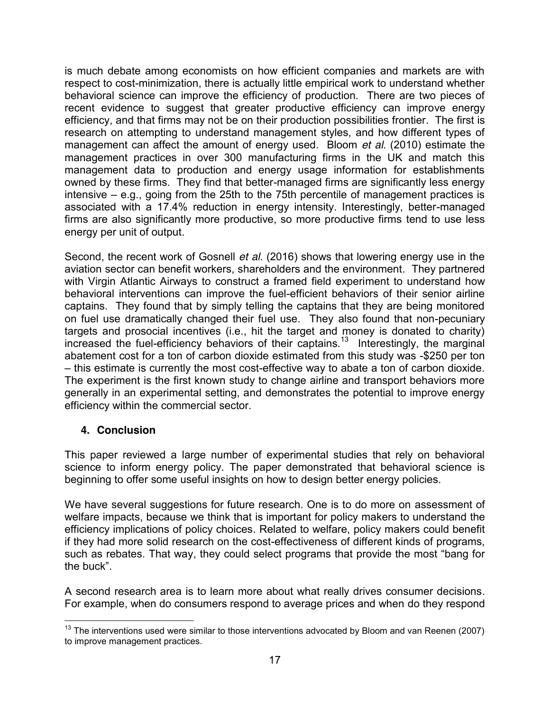is much debate among economists on how efficient companies and markets are with respect to cost-minimization, there is actually little empirical work to understand whether behavioral science can improve the efficiency of production. There are two pieces of recent evidence to suggest that greater productive efficiency can improve energy efficiency, and that firms may not be on their production possibilities frontier. The first is research on attempting to understand management styles, and how different types of management can affect the amount of energy used. Bloom *et al*. (2010) estimate the management practices in over 300 manufacturing firms in the UK and match this management data to production and energy usage information for establishments owned by these firms. They find that better-managed firms are significantly less energy intensive – e.g., going from the 25th to the 75th percentile of management practices is associated with a 17.4% reduction in energy intensity. Interestingly, better-managed firms are also significantly more productive, so more productive firms tend to use less energy per unit of output.

Second, the recent work of Gosnell *et al*. (2016) shows that lowering energy use in the aviation sector can benefit workers, shareholders and the environment. They partnered with Virgin Atlantic Airways to construct a framed field experiment to understand how behavioral interventions can improve the fuel-efficient behaviors of their senior airline captains. They found that by simply telling the captains that they are being monitored on fuel use dramatically changed their fuel use. They also found that non-pecuniary targets and prosocial incentives (i.e., hit the target and money is donated to charity) increased the fuel-efficiency behaviors of their captains.<sup>13</sup> Interestingly, the marginal abatement cost for a ton of carbon dioxide estimated from this study was -\$250 per ton – this estimate is currently the most cost-effective way to abate a ton of carbon dioxide. The experiment is the first known study to change airline and transport behaviors more generally in an experimental setting, and demonstrates the potential to improve energy efficiency within the commercial sector.

# **4. Conclusion**

This paper reviewed a large number of experimental studies that rely on behavioral science to inform energy policy. The paper demonstrated that behavioral science is beginning to offer some useful insights on how to design better energy policies.

We have several suggestions for future research. One is to do more on assessment of welfare impacts, because we think that is important for policy makers to understand the efficiency implications of policy choices. Related to welfare, policy makers could benefit if they had more solid research on the cost-effectiveness of different kinds of programs, such as rebates. That way, they could select programs that provide the most "bang for the buck".

A second research area is to learn more about what really drives consumer decisions. For example, when do consumers respond to average prices and when do they respond

 $13$  The interventions used were similar to those interventions advocated by Bloom and van Reenen (2007) to improve management practices.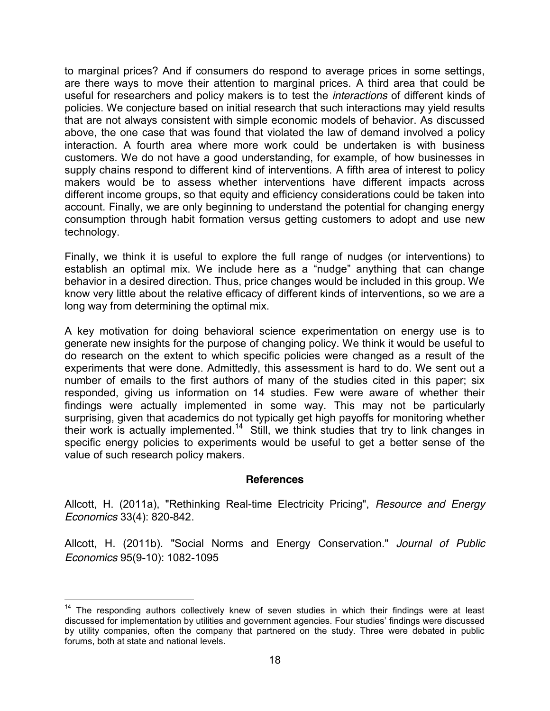to marginal prices? And if consumers do respond to average prices in some settings, are there ways to move their attention to marginal prices. A third area that could be useful for researchers and policy makers is to test the *interactions* of different kinds of policies. We conjecture based on initial research that such interactions may yield results that are not always consistent with simple economic models of behavior. As discussed above, the one case that was found that violated the law of demand involved a policy interaction. A fourth area where more work could be undertaken is with business customers. We do not have a good understanding, for example, of how businesses in supply chains respond to different kind of interventions. A fifth area of interest to policy makers would be to assess whether interventions have different impacts across different income groups, so that equity and efficiency considerations could be taken into account. Finally, we are only beginning to understand the potential for changing energy consumption through habit formation versus getting customers to adopt and use new technology.

Finally, we think it is useful to explore the full range of nudges (or interventions) to establish an optimal mix. We include here as a "nudge" anything that can change behavior in a desired direction. Thus, price changes would be included in this group. We know very little about the relative efficacy of different kinds of interventions, so we are a long way from determining the optimal mix.

A key motivation for doing behavioral science experimentation on energy use is to generate new insights for the purpose of changing policy. We think it would be useful to do research on the extent to which specific policies were changed as a result of the experiments that were done. Admittedly, this assessment is hard to do. We sent out a number of emails to the first authors of many of the studies cited in this paper; six responded, giving us information on 14 studies. Few were aware of whether their findings were actually implemented in some way. This may not be particularly surprising, given that academics do not typically get high payoffs for monitoring whether their work is actually implemented.<sup>14</sup> Still, we think studies that try to link changes in specific energy policies to experiments would be useful to get a better sense of the value of such research policy makers.

#### **References**

Allcott, H. (2011a), "Rethinking Real-time Electricity Pricing", *Resource and Energy Economics* 33(4): 820-842.

Allcott, H. (2011b). "Social Norms and Energy Conservation." *Journal of Public Economics* 95(9-10): 1082-1095

<sup>&</sup>lt;sup>14</sup> The responding authors collectively knew of seven studies in which their findings were at least discussed for implementation by utilities and government agencies. Four studies' findings were discussed by utility companies, often the company that partnered on the study. Three were debated in public forums, both at state and national levels.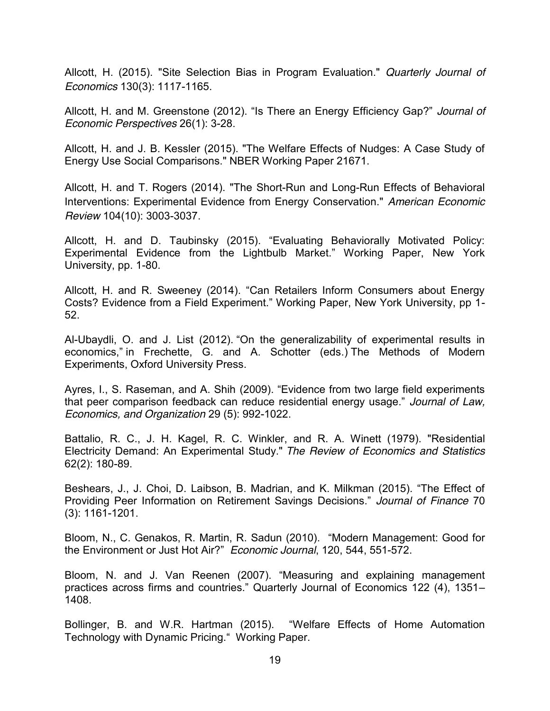Allcott, H. (2015). "Site Selection Bias in Program Evaluation." *Quarterly Journal of Economics* 130(3): 1117-1165.

Allcott, H. and M. Greenstone (2012). "Is There an Energy Efficiency Gap?" *Journal of Economic Perspectives* 26(1): 3-28.

Allcott, H. and J. B. Kessler (2015). "The Welfare Effects of Nudges: A Case Study of Energy Use Social Comparisons." NBER Working Paper 21671.

Allcott, H. and T. Rogers (2014). "The Short-Run and Long-Run Effects of Behavioral Interventions: Experimental Evidence from Energy Conservation." *American Economic Review* 104(10): 3003-3037.

Allcott, H. and D. Taubinsky (2015). "Evaluating Behaviorally Motivated Policy: Experimental Evidence from the Lightbulb Market." Working Paper, New York University, pp. 1-80.

Allcott, H. and R. Sweeney (2014). "Can Retailers Inform Consumers about Energy Costs? Evidence from a Field Experiment." Working Paper, New York University, pp 1- 52.

Al-Ubaydli, O. and J. List (2012). "[On the generalizability of experimental results in](http://www.nber.org/papers/w17957)  [economics,](http://www.nber.org/papers/w17957)" in Frechette, G. and A. Schotter (eds.) The Methods of Modern Experiments, Oxford University Press.

Ayres, I., S. Raseman, and A. Shih (2009). "Evidence from two large field experiments that peer comparison feedback can reduce residential energy usage." *Journal of Law, Economics, and Organization* 29 (5): 992-1022.

Battalio, R. C., J. H. Kagel, R. C. Winkler, and R. A. Winett (1979). "Residential Electricity Demand: An Experimental Study." *The Review of Economics and Statistics*  62(2): 180-89.

Beshears, J., J. Choi, D. Laibson, B. Madrian, and K. Milkman (2015). "The Effect of Providing Peer Information on Retirement Savings Decisions." *Journal of Finance* 70 (3): 1161-1201.

Bloom, N., C. Genakos, R. Martin, R. Sadun (2010). "Modern Management: Good for the Environment or Just Hot Air?" *Economic Journal*, 120, 544, 551-572.

Bloom, N. and J. Van Reenen (2007). "Measuring and explaining management practices across firms and countries." Quarterly Journal of Economics 122 (4), 1351– 1408.

Bollinger, B. and W.R. Hartman (2015). "Welfare Effects of Home Automation Technology with Dynamic Pricing." Working Paper.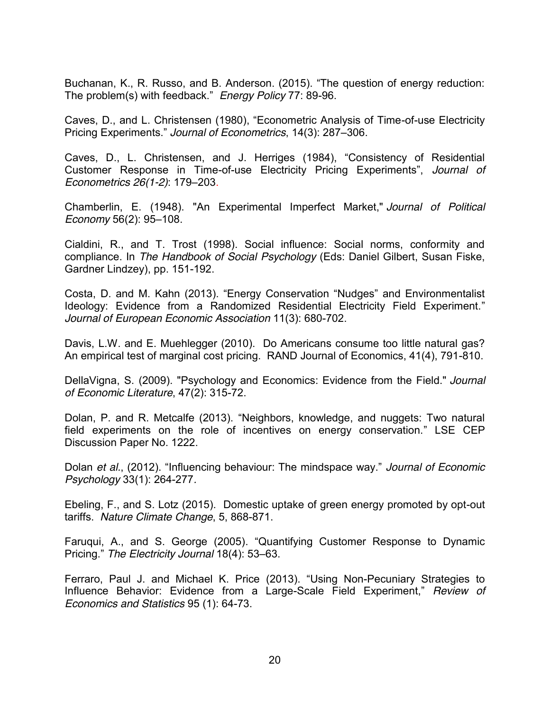Buchanan, K., R. Russo, and B. Anderson. (2015). "The question of energy reduction: The problem(s) with feedback." *Energy Policy* 77: 89-96.

Caves, D., and L. Christensen (1980), "Econometric Analysis of Time-of-use Electricity Pricing Experiments." *Journal of Econometrics*, 14(3): 287–306.

Caves, D., L. Christensen, and J. Herriges (1984), "Consistency of Residential Customer Response in Time-of-use Electricity Pricing Experiments", *Journal of Econometrics 26(1-2)*: 179–203.

Chamberlin, E. (1948). "An Experimental Imperfect Market," *Journal of Political Economy* 56(2): [95](http://www.jstor.org/pss/1826387)–108.

Cialdini, R., and T. Trost (1998). Social influence: Social norms, conformity and compliance. In *The Handbook of Social Psychology* (Eds: Daniel Gilbert, Susan Fiske, Gardner Lindzey), pp. 151-192.

Costa, D. and M. Kahn (2013). "Energy Conservation "Nudges" and Environmentalist Ideology: Evidence from a Randomized Residential Electricity Field Experiment." *Journal of European Economic Association* 11(3): 680-702.

Davis, L.W. and E. Muehlegger (2010). Do Americans consume too little natural gas? An empirical test of marginal cost pricing. RAND Journal of Economics, 41(4), 791-810.

DellaVigna, S. (2009). "Psychology and Economics: Evidence from the Field." *Journal of Economic Literature*, 47(2): 315-72.

Dolan, P. and R. Metcalfe (2013). "Neighbors, knowledge, and nuggets: Two natural field experiments on the role of incentives on energy conservation." LSE CEP Discussion Paper No. 1222.

Dolan *et al.*, (2012). "Influencing behaviour: The mindspace way." *Journal of Economic Psychology* 33(1): 264-277*.*

Ebeling, F., and S. Lotz (2015). Domestic uptake of green energy promoted by opt-out tariffs. *Nature Climate Change*, 5, 868-871.

Faruqui, A., and S. George (2005). "Quantifying Customer Response to Dynamic Pricing." *The Electricity Journal* 18(4): 53–63.

Ferraro, Paul J. and Michael K. Price (2013). "Using Non-Pecuniary Strategies to Influence Behavior: Evidence from a Large-Scale Field Experiment," *Review of Economics and Statistics* 95 (1): 64-73.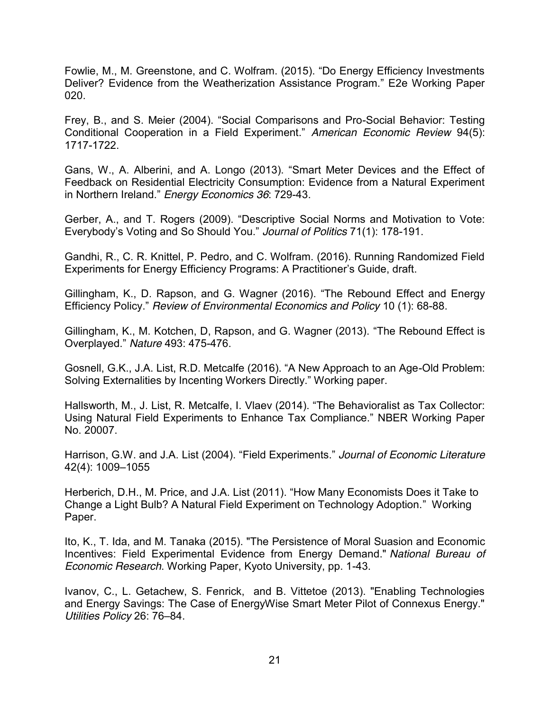Fowlie, M., M. Greenstone, and C. Wolfram. (2015). "Do Energy Efficiency Investments Deliver? Evidence from the Weatherization Assistance Program." E2e Working Paper 020.

Frey, B., and S. Meier (2004). "Social Comparisons and Pro-Social Behavior: Testing Conditional Cooperation in a Field Experiment." *American Economic Review* 94(5): 1717-1722.

Gans, W., A. Alberini, and A. Longo (2013). "Smart Meter Devices and the Effect of Feedback on Residential Electricity Consumption: Evidence from a Natural Experiment in Northern Ireland." *Energy Economics 36*: 729-43.

Gerber, A., and T. Rogers (2009). "Descriptive Social Norms and Motivation to Vote: Everybody's Voting and So Should You." *Journal of Politics* 71(1): 178-191.

Gandhi, R., C. R. Knittel, P. Pedro, and C. Wolfram. (2016). Running Randomized Field Experiments for Energy Efficiency Programs: A Practitioner's Guide, draft.

Gillingham, K., D. Rapson, and G. Wagner (2016). "The Rebound Effect and Energy Efficiency Policy." *Review of Environmental Economics and Policy* 10 (1): 68-88.

Gillingham, K., M. Kotchen, D, Rapson, and G. Wagner (2013). "The Rebound Effect is Overplayed." *Nature* 493: 475-476.

Gosnell, G.K., J.A. List, R.D. Metcalfe (2016). "A New Approach to an Age-Old Problem: Solving Externalities by Incenting Workers Directly." Working paper.

Hallsworth, M., J. List, R. Metcalfe, I. Vlaev (2014). "The Behavioralist as Tax Collector: Using Natural Field Experiments to Enhance Tax Compliance." NBER Working Paper No. 20007.

Harrison, G.W. and J.A. List (2004). "Field Experiments." *Journal of Economic Literature*  42(4): 1009–1055

Herberich, D.H., M. Price, and J.A. List (2011). "How Many Economists Does it Take to Change a Light Bulb? A Natural Field Experiment on Technology Adoption." Working Paper.

Ito, K., T. Ida, and M. Tanaka (2015). "The Persistence of Moral Suasion and Economic Incentives: Field Experimental Evidence from Energy Demand." *National Bureau of Economic Research*. Working Paper, Kyoto University, pp. 1-43.

Ivanov, C., L. Getachew, S. Fenrick, and B. Vittetoe (2013). "Enabling Technologies and Energy Savings: The Case of EnergyWise Smart Meter Pilot of Connexus Energy." *Utilities Policy* 26: 76–84.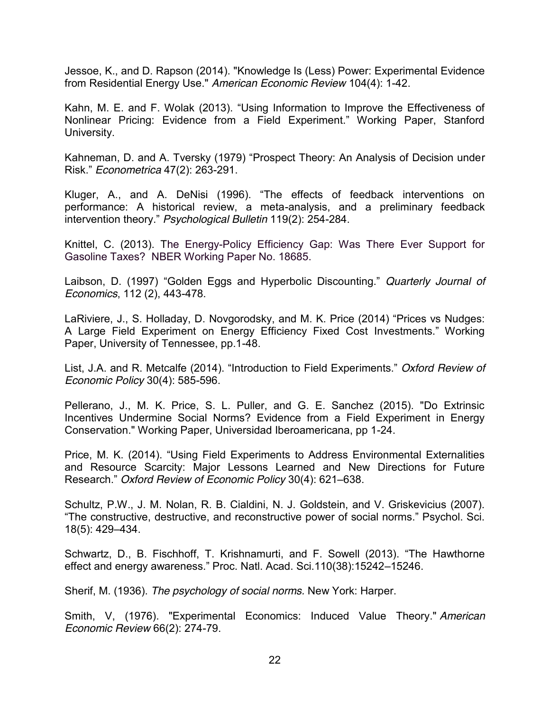Jessoe, K., and D. Rapson (2014). "Knowledge Is (Less) Power: Experimental Evidence from Residential Energy Use." *American Economic Review* 104(4): 1-42.

Kahn, M. E. and F. Wolak (2013). "Using Information to Improve the Effectiveness of Nonlinear Pricing: Evidence from a Field Experiment." Working Paper, Stanford University.

Kahneman, D. and A. Tversky (1979) "Prospect Theory: An Analysis of Decision under Risk." *Econometrica* 47(2): 263-291.

Kluger, A., and A. DeNisi (1996). "The effects of feedback interventions on performance: A historical review, a meta-analysis, and a preliminary feedback intervention theory." *Psychological Bulletin* 119(2): 254-284.

Knittel, C. (2013). The Energy-Policy Efficiency Gap: Was There Ever Support for Gasoline Taxes? NBER Working Paper No. 18685.

Laibson, D. (1997) "Golden Eggs and Hyperbolic Discounting." *Quarterly Journal of Economics*, 112 (2), 443-478.

LaRiviere, J., S. Holladay, D. Novgorodsky, and M. K. Price (2014) "Prices vs Nudges: A Large Field Experiment on Energy Efficiency Fixed Cost Investments." Working Paper, University of Tennessee, pp.1-48.

List, J.A. and R. Metcalfe (2014). "Introduction to Field Experiments." *Oxford Review of Economic Policy* 30(4): 585-596.

Pellerano, J., M. K. Price, S. L. Puller, and G. E. Sanchez (2015). "Do Extrinsic Incentives Undermine Social Norms? Evidence from a Field Experiment in Energy Conservation." Working Paper, Universidad Iberoamericana, pp 1-24.

Price, M. K. (2014). "Using Field Experiments to Address Environmental Externalities and Resource Scarcity: Major Lessons Learned and New Directions for Future Research." *Oxford Review of Economic Policy* 30(4): 621–638.

Schultz, P.W., J. M. Nolan, R. B. Cialdini, N. J. Goldstein, and V. Griskevicius (2007). "The constructive, destructive, and reconstructive power of social norms." Psychol. Sci. 18(5): 429–434.

Schwartz, D., B. Fischhoff, T. Krishnamurti, and F. Sowell (2013). "The Hawthorne effect and energy awareness." Proc. Natl. Acad. Sci.110(38):15242–15246.

Sherif, M. (1936). *The psychology of social norms.* New York: Harper.

Smith, V, (1976). "Experimental Economics: Induced Value Theory." *American Economic Review* 66(2): 274-79.